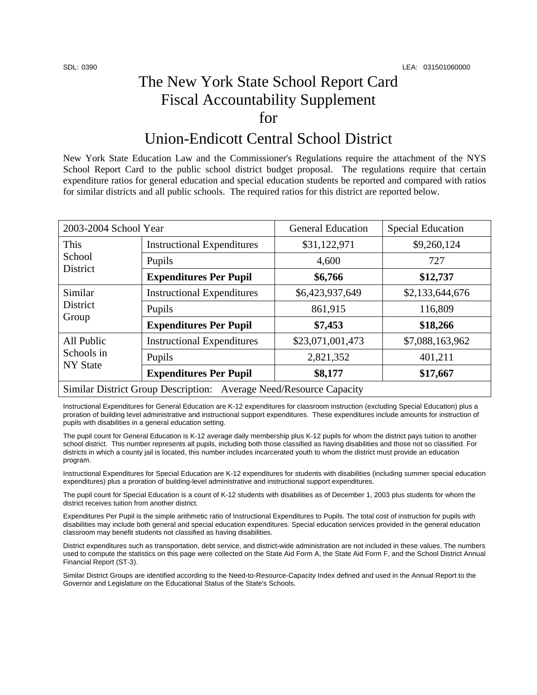## The New York State School Report Card Fiscal Accountability Supplement for

## Union-Endicott Central School District

New York State Education Law and the Commissioner's Regulations require the attachment of the NYS School Report Card to the public school district budget proposal. The regulations require that certain expenditure ratios for general education and special education students be reported and compared with ratios for similar districts and all public schools. The required ratios for this district are reported below.

| 2003-2004 School Year                                              |                                   | <b>General Education</b> | <b>Special Education</b> |  |  |
|--------------------------------------------------------------------|-----------------------------------|--------------------------|--------------------------|--|--|
| This<br>School<br><b>District</b>                                  | <b>Instructional Expenditures</b> | \$31,122,971             | \$9,260,124              |  |  |
|                                                                    | Pupils                            | 4,600                    | 727                      |  |  |
|                                                                    | <b>Expenditures Per Pupil</b>     | \$6,766                  | \$12,737                 |  |  |
| Similar<br>District<br>Group                                       | <b>Instructional Expenditures</b> | \$6,423,937,649          | \$2,133,644,676          |  |  |
|                                                                    | Pupils                            | 861,915                  | 116,809                  |  |  |
|                                                                    | <b>Expenditures Per Pupil</b>     | \$7,453                  | \$18,266                 |  |  |
| All Public<br>Schools in<br><b>NY State</b>                        | <b>Instructional Expenditures</b> | \$23,071,001,473         | \$7,088,163,962          |  |  |
|                                                                    | Pupils                            | 2,821,352                | 401,211                  |  |  |
|                                                                    | <b>Expenditures Per Pupil</b>     | \$8,177                  | \$17,667                 |  |  |
| Similar District Group Description: Average Need/Resource Capacity |                                   |                          |                          |  |  |

Instructional Expenditures for General Education are K-12 expenditures for classroom instruction (excluding Special Education) plus a proration of building level administrative and instructional support expenditures. These expenditures include amounts for instruction of pupils with disabilities in a general education setting.

The pupil count for General Education is K-12 average daily membership plus K-12 pupils for whom the district pays tuition to another school district. This number represents all pupils, including both those classified as having disabilities and those not so classified. For districts in which a county jail is located, this number includes incarcerated youth to whom the district must provide an education program.

Instructional Expenditures for Special Education are K-12 expenditures for students with disabilities (including summer special education expenditures) plus a proration of building-level administrative and instructional support expenditures.

The pupil count for Special Education is a count of K-12 students with disabilities as of December 1, 2003 plus students for whom the district receives tuition from another district.

Expenditures Per Pupil is the simple arithmetic ratio of Instructional Expenditures to Pupils. The total cost of instruction for pupils with disabilities may include both general and special education expenditures. Special education services provided in the general education classroom may benefit students not classified as having disabilities.

District expenditures such as transportation, debt service, and district-wide administration are not included in these values. The numbers used to compute the statistics on this page were collected on the State Aid Form A, the State Aid Form F, and the School District Annual Financial Report (ST-3).

Similar District Groups are identified according to the Need-to-Resource-Capacity Index defined and used in the Annual Report to the Governor and Legislature on the Educational Status of the State's Schools.